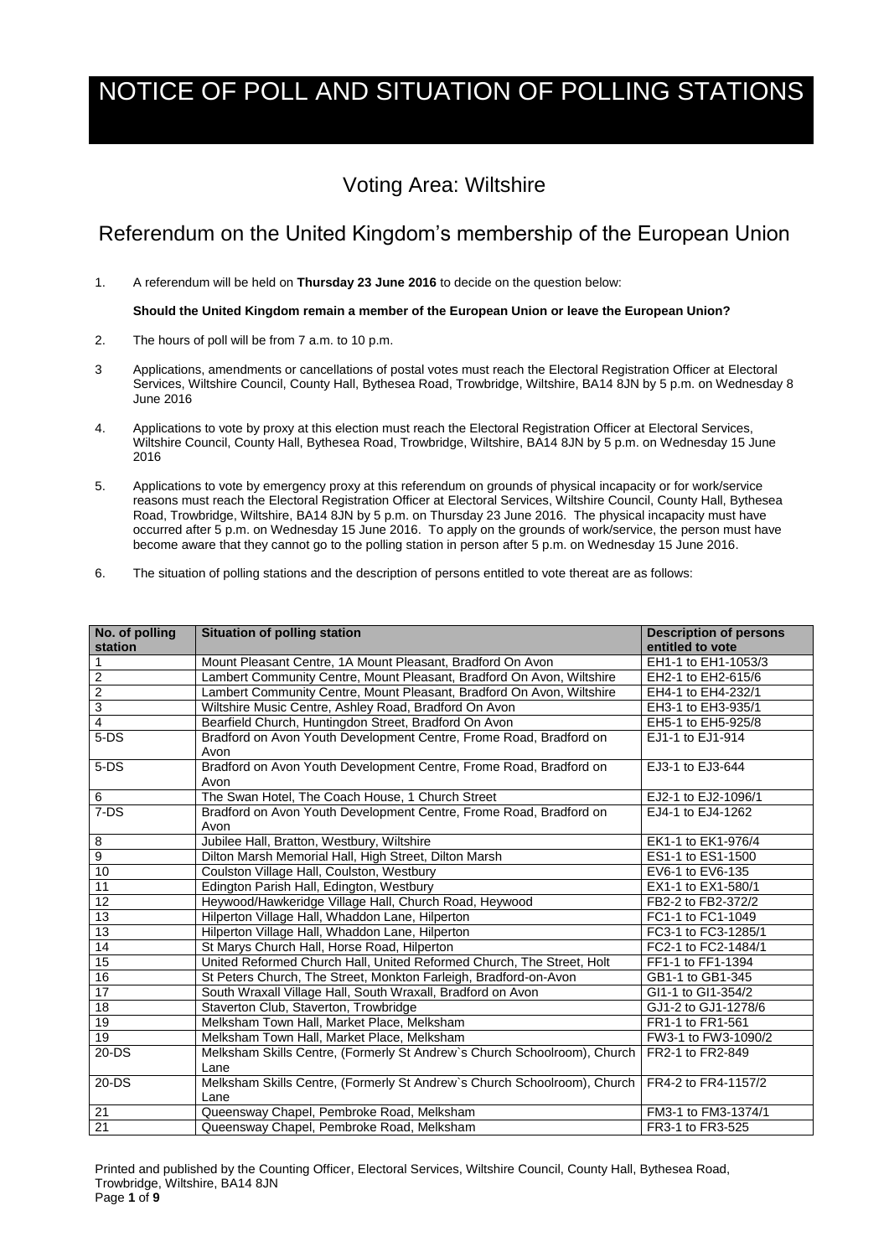Printed and published by the Counting Officer, Electoral Services, Wiltshire Council, County Hall, Bythesea Road, Trowbridge, Wiltshire, BA14 8JN Page **1** of **9**

## NOTICE OF POLL AND SITUATION OF POLLING STATIONS

## Voting Area: Wiltshire

## Referendum on the United Kingdom's membership of the European Union

1. A referendum will be held on **Thursday 23 June 2016** to decide on the question below:

**Should the United Kingdom remain a member of the European Union or leave the European Union?**

- 2. The hours of poll will be from 7 a.m. to 10 p.m.
- 3 Applications, amendments or cancellations of postal votes must reach the Electoral Registration Officer at Electoral Services, Wiltshire Council, County Hall, Bythesea Road, Trowbridge, Wiltshire, BA14 8JN by 5 p.m. on Wednesday 8 June 2016
- 4. Applications to vote by proxy at this election must reach the Electoral Registration Officer at Electoral Services, Wiltshire Council, County Hall, Bythesea Road, Trowbridge, Wiltshire, BA14 8JN by 5 p.m. on Wednesday 15 June 2016
- 5. Applications to vote by emergency proxy at this referendum on grounds of physical incapacity or for work/service reasons must reach the Electoral Registration Officer at Electoral Services, Wiltshire Council, County Hall, Bythesea Road, Trowbridge, Wiltshire, BA14 8JN by 5 p.m. on Thursday 23 June 2016. The physical incapacity must have occurred after 5 p.m. on Wednesday 15 June 2016. To apply on the grounds of work/service, the person must have become aware that they cannot go to the polling station in person after 5 p.m. on Wednesday 15 June 2016.
- 6. The situation of polling stations and the description of persons entitled to vote thereat are as follows:

| No. of polling<br>station | <b>Situation of polling station</b>                                              | <b>Description of persons</b><br>entitled to vote |
|---------------------------|----------------------------------------------------------------------------------|---------------------------------------------------|
|                           | Mount Pleasant Centre, 1A Mount Pleasant, Bradford On Avon                       | EH1-1 to EH1-1053/3                               |
| $\overline{2}$            | Lambert Community Centre, Mount Pleasant, Bradford On Avon, Wiltshire            | EH2-1 to EH2-615/6                                |
| $\overline{2}$            | Lambert Community Centre, Mount Pleasant, Bradford On Avon, Wiltshire            | EH4-1 to EH4-232/1                                |
| $\overline{3}$            | Wiltshire Music Centre, Ashley Road, Bradford On Avon                            | EH3-1 to EH3-935/1                                |
| 4                         | Bearfield Church, Huntingdon Street, Bradford On Avon                            | EH5-1 to EH5-925/8                                |
| $5-DS$                    | Bradford on Avon Youth Development Centre, Frome Road, Bradford on<br>Avon       | EJ1-1 to EJ1-914                                  |
| $5-DS$                    | Bradford on Avon Youth Development Centre, Frome Road, Bradford on<br>Avon       | EJ3-1 to EJ3-644                                  |
| 6                         | The Swan Hotel, The Coach House, 1 Church Street                                 | EJ2-1 to EJ2-1096/1                               |
| $7-DS$                    | Bradford on Avon Youth Development Centre, Frome Road, Bradford on<br>Avon       | EJ4-1 to EJ4-1262                                 |
| 8                         | Jubilee Hall, Bratton, Westbury, Wiltshire                                       | EK1-1 to EK1-976/4                                |
| 9                         | Dilton Marsh Memorial Hall, High Street, Dilton Marsh                            | ES1-1 to ES1-1500                                 |
| 10                        | Coulston Village Hall, Coulston, Westbury                                        | EV6-1 to EV6-135                                  |
| $\overline{11}$           | Edington Parish Hall, Edington, Westbury                                         | EX1-1 to EX1-580/1                                |
| 12                        | Heywood/Hawkeridge Village Hall, Church Road, Heywood                            | FB2-2 to FB2-372/2                                |
| $\overline{13}$           | Hilperton Village Hall, Whaddon Lane, Hilperton                                  | FC1-1 to FC1-1049                                 |
| $\overline{13}$           | Hilperton Village Hall, Whaddon Lane, Hilperton                                  | FC3-1 to FC3-1285/1                               |
| $\overline{14}$           | St Marys Church Hall, Horse Road, Hilperton                                      | FC2-1 to FC2-1484/1                               |
| $\overline{15}$           | United Reformed Church Hall, United Reformed Church, The Street, Holt            | FF1-1 to FF1-1394                                 |
| 16                        | St Peters Church, The Street, Monkton Farleigh, Bradford-on-Avon                 | GB1-1 to GB1-345                                  |
| $\overline{17}$           | South Wraxall Village Hall, South Wraxall, Bradford on Avon                      | GI1-1 to GI1-354/2                                |
| 18                        | Staverton Club, Staverton, Trowbridge                                            | GJ1-2 to GJ1-1278/6                               |
| 19                        | Melksham Town Hall, Market Place, Melksham                                       | FR1-1 to FR1-561                                  |
| $\overline{19}$           | Melksham Town Hall, Market Place, Melksham                                       | FW3-1 to FW3-1090/2                               |
| $20 - DS$                 | Melksham Skills Centre, (Formerly St Andrew's Church Schoolroom), Church<br>Lane | FR2-1 to FR2-849                                  |
| $20 - DS$                 | Melksham Skills Centre, (Formerly St Andrew's Church Schoolroom), Church<br>Lane | FR4-2 to FR4-1157/2                               |
| 21                        | Queensway Chapel, Pembroke Road, Melksham                                        | FM3-1 to FM3-1374/1                               |
| $\overline{21}$           | Queensway Chapel, Pembroke Road, Melksham                                        | FR3-1 to FR3-525                                  |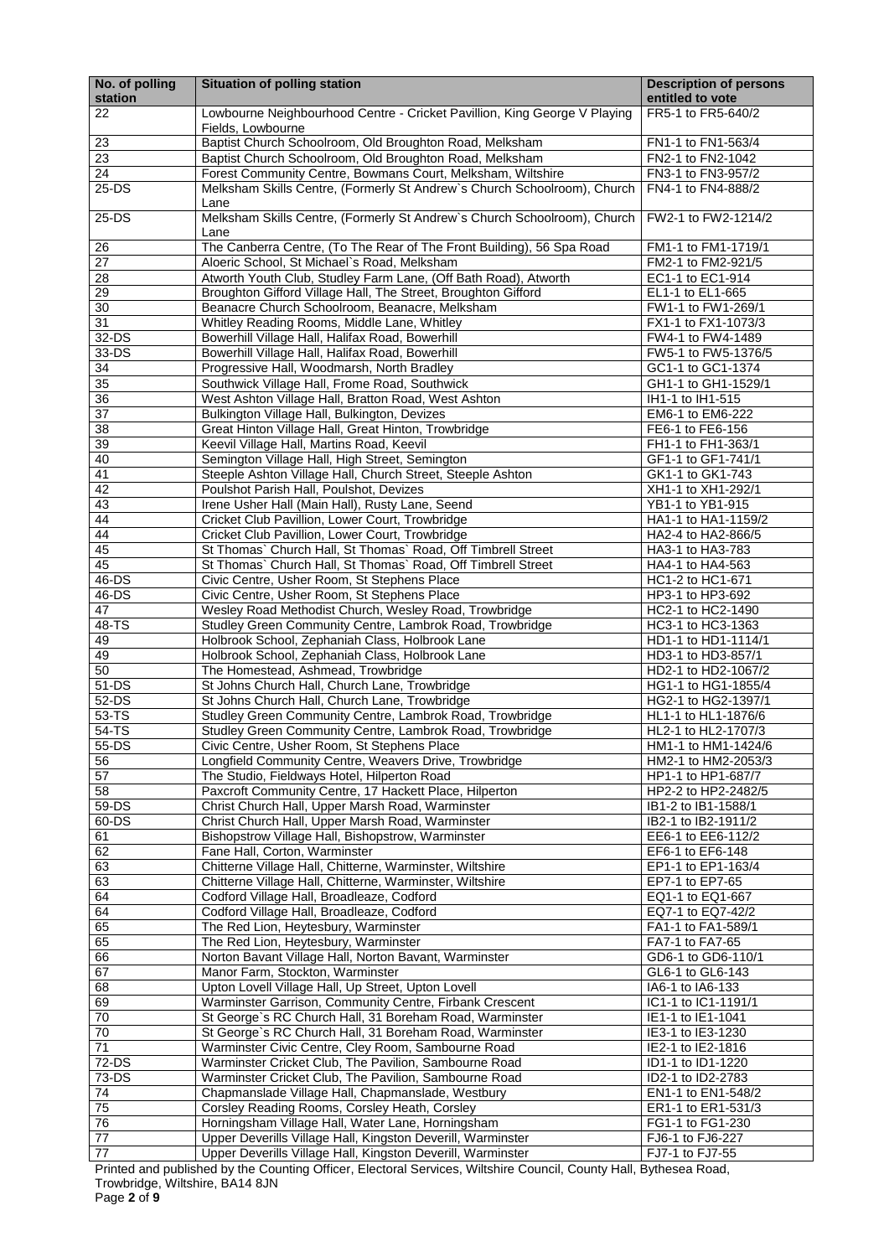Trowbridge, Wiltshire, BA14 8JN

Page **2** of **9**

| No. of polling<br>station | <b>Situation of polling station</b>                                                                                  | <b>Description of persons</b><br>entitled to vote |
|---------------------------|----------------------------------------------------------------------------------------------------------------------|---------------------------------------------------|
| 22                        | Lowbourne Neighbourhood Centre - Cricket Pavillion, King George V Playing<br>Fields, Lowbourne                       | FR5-1 to FR5-640/2                                |
| 23                        | Baptist Church Schoolroom, Old Broughton Road, Melksham                                                              | FN1-1 to FN1-563/4                                |
| 23                        | Baptist Church Schoolroom, Old Broughton Road, Melksham                                                              | FN2-1 to FN2-1042                                 |
| $\overline{24}$           | Forest Community Centre, Bowmans Court, Melksham, Wiltshire                                                          | FN3-1 to FN3-957/2                                |
| 25-DS                     | Melksham Skills Centre, (Formerly St Andrew's Church Schoolroom), Church<br>Lane                                     | FN4-1 to FN4-888/2                                |
| 25-DS                     | Melksham Skills Centre, (Formerly St Andrew's Church Schoolroom), Church<br>Lane                                     | FW2-1 to FW2-1214/2                               |
| 26<br>27                  | The Canberra Centre, (To The Rear of The Front Building), 56 Spa Road<br>Aloeric School, St Michael's Road, Melksham | FM1-1 to FM1-1719/1<br>FM2-1 to FM2-921/5         |
| 28                        | Atworth Youth Club, Studley Farm Lane, (Off Bath Road), Atworth                                                      | EC1-1 to EC1-914                                  |
| 29                        | Broughton Gifford Village Hall, The Street, Broughton Gifford                                                        | EL1-1 to EL1-665                                  |
| 30                        | Beanacre Church Schoolroom, Beanacre, Melksham                                                                       | FW1-1 to FW1-269/1                                |
| $\overline{31}$           | Whitley Reading Rooms, Middle Lane, Whitley                                                                          | FX1-1 to FX1-1073/3                               |
| $32-DS$                   | Bowerhill Village Hall, Halifax Road, Bowerhill                                                                      | FW4-1 to FW4-1489                                 |
| 33-DS                     | Bowerhill Village Hall, Halifax Road, Bowerhill                                                                      | FW5-1 to FW5-1376/5                               |
| 34                        | Progressive Hall, Woodmarsh, North Bradley                                                                           | GC1-1 to GC1-1374                                 |
| 35                        | Southwick Village Hall, Frome Road, Southwick                                                                        | GH1-1 to GH1-1529/1                               |
| 36<br>37                  | West Ashton Village Hall, Bratton Road, West Ashton                                                                  | IH1-1 to IH1-515<br>EM6-1 to EM6-222              |
| 38                        | Bulkington Village Hall, Bulkington, Devizes<br>Great Hinton Village Hall, Great Hinton, Trowbridge                  | FE6-1 to FE6-156                                  |
| 39                        | Keevil Village Hall, Martins Road, Keevil                                                                            | FH1-1 to FH1-363/1                                |
| 40                        | Semington Village Hall, High Street, Semington                                                                       | GF1-1 to GF1-741/1                                |
| 41                        | Steeple Ashton Village Hall, Church Street, Steeple Ashton                                                           | GK1-1 to GK1-743                                  |
| 42                        | Poulshot Parish Hall, Poulshot, Devizes                                                                              | XH1-1 to XH1-292/1                                |
| $\overline{43}$           | Irene Usher Hall (Main Hall), Rusty Lane, Seend                                                                      | YB1-1 to YB1-915                                  |
| 44                        | Cricket Club Pavillion, Lower Court, Trowbridge                                                                      | HA1-1 to HA1-1159/2                               |
| 44                        | Cricket Club Pavillion, Lower Court, Trowbridge                                                                      | HA2-4 to HA2-866/5                                |
| 45                        | St Thomas` Church Hall, St Thomas` Road, Off Timbrell Street                                                         | HA3-1 to HA3-783                                  |
| 45                        | St Thomas` Church Hall, St Thomas` Road, Off Timbrell Street                                                         | HA4-1 to HA4-563                                  |
| 46-DS                     | Civic Centre, Usher Room, St Stephens Place                                                                          | HC1-2 to HC1-671                                  |
| 46-DS<br>47               | Civic Centre, Usher Room, St Stephens Place                                                                          | HP3-1 to HP3-692<br>HC2-1 to HC2-1490             |
| 48-TS                     | Wesley Road Methodist Church, Wesley Road, Trowbridge<br>Studley Green Community Centre, Lambrok Road, Trowbridge    | HC3-1 to HC3-1363                                 |
| 49                        | Holbrook School, Zephaniah Class, Holbrook Lane                                                                      | HD1-1 to HD1-1114/1                               |
| 49                        | Holbrook School, Zephaniah Class, Holbrook Lane                                                                      | HD3-1 to HD3-857/1                                |
| 50                        | The Homestead, Ashmead, Trowbridge                                                                                   | HD2-1 to HD2-1067/2                               |
| 51-DS                     | St Johns Church Hall, Church Lane, Trowbridge                                                                        | HG1-1 to HG1-1855/4                               |
| 52-DS                     | St Johns Church Hall, Church Lane, Trowbridge                                                                        | HG2-1 to HG2-1397/1                               |
| 53-TS                     | Studley Green Community Centre, Lambrok Road, Trowbridge                                                             | HL1-1 to HL1-1876/6                               |
| 54-TS                     | Studley Green Community Centre, Lambrok Road, Trowbridge                                                             | HL2-1 to HL2-1707/3                               |
| 55-DS                     | Civic Centre, Usher Room, St Stephens Place                                                                          | HM1-1 to HM1-1424/6                               |
| 56<br>57                  | Longfield Community Centre, Weavers Drive, Trowbridge                                                                | HM2-1 to HM2-2053/3<br>HP1-1 to HP1-687/7         |
| 58                        | The Studio, Fieldways Hotel, Hilperton Road<br>Paxcroft Community Centre, 17 Hackett Place, Hilperton                | HP2-2 to HP2-2482/5                               |
| 59-DS                     | Christ Church Hall, Upper Marsh Road, Warminster                                                                     | IB1-2 to IB1-1588/1                               |
| 60-DS                     | Christ Church Hall, Upper Marsh Road, Warminster                                                                     | IB2-1 to IB2-1911/2                               |
| 61                        | Bishopstrow Village Hall, Bishopstrow, Warminster                                                                    | EE6-1 to EE6-112/2                                |
| 62                        | Fane Hall, Corton, Warminster                                                                                        | EF6-1 to EF6-148                                  |
| 63                        | Chitterne Village Hall, Chitterne, Warminster, Wiltshire                                                             | EP1-1 to EP1-163/4                                |
| 63                        | Chitterne Village Hall, Chitterne, Warminster, Wiltshire                                                             | EP7-1 to EP7-65                                   |
| 64                        | Codford Village Hall, Broadleaze, Codford                                                                            | EQ1-1 to EQ1-667                                  |
| 64                        | Codford Village Hall, Broadleaze, Codford                                                                            | EQ7-1 to EQ7-42/2                                 |
| 65<br>65                  | The Red Lion, Heytesbury, Warminster                                                                                 | FA1-1 to FA1-589/1<br>FA7-1 to FA7-65             |
| 66                        | The Red Lion, Heytesbury, Warminster<br>Norton Bavant Village Hall, Norton Bavant, Warminster                        | GD6-1 to GD6-110/1                                |
| 67                        | Manor Farm, Stockton, Warminster                                                                                     | GL6-1 to GL6-143                                  |
| 68                        | Upton Lovell Village Hall, Up Street, Upton Lovell                                                                   | IA6-1 to IA6-133                                  |
| 69                        | Warminster Garrison, Community Centre, Firbank Crescent                                                              | IC1-1 to IC1-1191/1                               |
| 70                        | St George's RC Church Hall, 31 Boreham Road, Warminster                                                              | IE1-1 to IE1-1041                                 |
| 70                        | St George's RC Church Hall, 31 Boreham Road, Warminster                                                              | IE3-1 to IE3-1230                                 |
| $\overline{71}$           | Warminster Civic Centre, Cley Room, Sambourne Road                                                                   | IE2-1 to IE2-1816                                 |
| 72-DS                     | Warminster Cricket Club, The Pavilion, Sambourne Road                                                                | ID1-1 to ID1-1220                                 |
| 73-DS                     | Warminster Cricket Club, The Pavilion, Sambourne Road                                                                | ID2-1 to ID2-2783                                 |
| 74                        | Chapmanslade Village Hall, Chapmanslade, Westbury                                                                    | EN1-1 to EN1-548/2                                |
| 75<br>76                  | Corsley Reading Rooms, Corsley Heath, Corsley<br>Horningsham Village Hall, Water Lane, Horningsham                   | ER1-1 to ER1-531/3<br>FG1-1 to FG1-230            |
| 77                        | Upper Deverills Village Hall, Kingston Deverill, Warminster                                                          | FJ6-1 to FJ6-227                                  |
| $\overline{77}$           | Upper Deverills Village Hall, Kingston Deverill, Warminster                                                          | FJ7-1 to FJ7-55                                   |
|                           | Printed and published by the Counting Officer, Electoral Services, Wiltshire Council, County Hall, Bythesea Road,    |                                                   |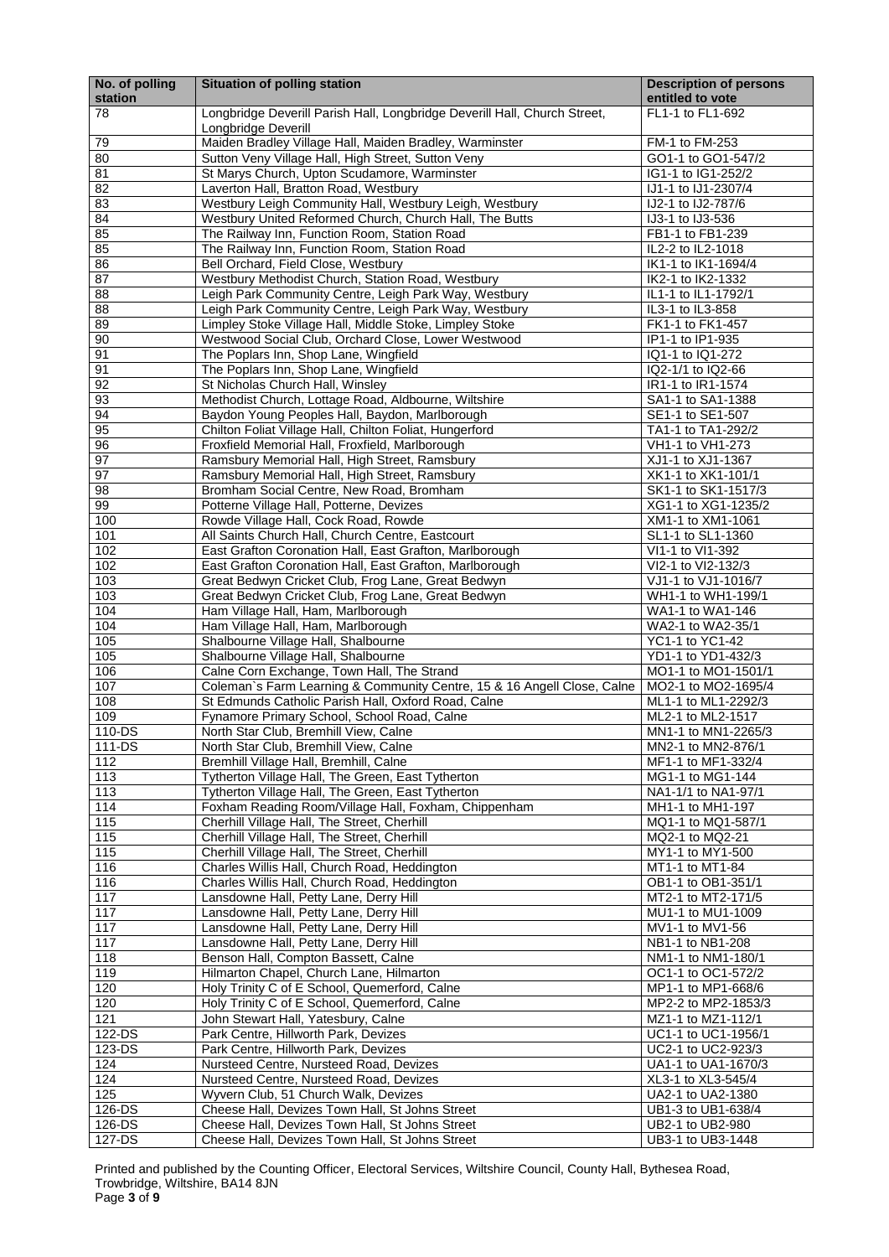Printed and published by the Counting Officer, Electoral Services, Wiltshire Council, County Hall, Bythesea Road, Trowbridge, Wiltshire, BA14 8JN Page **3** of **9**

| No. of polling<br>station | <b>Situation of polling station</b>                                                                        | <b>Description of persons</b><br>entitled to vote |
|---------------------------|------------------------------------------------------------------------------------------------------------|---------------------------------------------------|
| 78                        | Longbridge Deverill Parish Hall, Longbridge Deverill Hall, Church Street,<br>Longbridge Deverill           | FL1-1 to FL1-692                                  |
| 79                        | Maiden Bradley Village Hall, Maiden Bradley, Warminster                                                    | FM-1 to FM-253                                    |
| 80                        | Sutton Veny Village Hall, High Street, Sutton Veny                                                         | GO1-1 to GO1-547/2                                |
| 81                        | St Marys Church, Upton Scudamore, Warminster                                                               | IG1-1 to IG1-252/2                                |
| $\overline{82}$           | Laverton Hall, Bratton Road, Westbury                                                                      | IJ1-1 to IJ1-2307/4                               |
| 83                        | Westbury Leigh Community Hall, Westbury Leigh, Westbury                                                    | IJ2-1 to IJ2-787/6                                |
| 84                        | Westbury United Reformed Church, Church Hall, The Butts                                                    | IJ3-1 to IJ3-536                                  |
| 85                        | The Railway Inn, Function Room, Station Road                                                               | FB1-1 to FB1-239                                  |
| 85                        | The Railway Inn, Function Room, Station Road                                                               | IL2-2 to IL2-1018                                 |
| 86<br>87                  | Bell Orchard, Field Close, Westbury                                                                        | IK1-1 to IK1-1694/4                               |
| 88                        | Westbury Methodist Church, Station Road, Westbury<br>Leigh Park Community Centre, Leigh Park Way, Westbury | IK2-1 to IK2-1332<br>IL1-1 to IL1-1792/1          |
| 88                        | Leigh Park Community Centre, Leigh Park Way, Westbury                                                      | IL3-1 to IL3-858                                  |
| 89                        | Limpley Stoke Village Hall, Middle Stoke, Limpley Stoke                                                    | FK1-1 to FK1-457                                  |
| 90                        | Westwood Social Club, Orchard Close, Lower Westwood                                                        | IP1-1 to IP1-935                                  |
| 91                        | The Poplars Inn, Shop Lane, Wingfield                                                                      | IQ1-1 to IQ1-272                                  |
| 91                        | The Poplars Inn, Shop Lane, Wingfield                                                                      | IQ2-1/1 to IQ2-66                                 |
| 92                        | St Nicholas Church Hall, Winsley                                                                           | IR1-1 to IR1-1574                                 |
| 93                        | Methodist Church, Lottage Road, Aldbourne, Wiltshire                                                       | SA1-1 to SA1-1388                                 |
| 94                        | Baydon Young Peoples Hall, Baydon, Marlborough                                                             | SE1-1 to SE1-507                                  |
| 95                        | Chilton Foliat Village Hall, Chilton Foliat, Hungerford                                                    | TA1-1 to TA1-292/2                                |
| 96                        | Froxfield Memorial Hall, Froxfield, Marlborough                                                            | VH1-1 to VH1-273                                  |
| 97                        | Ramsbury Memorial Hall, High Street, Ramsbury                                                              | XJ1-1 to XJ1-1367                                 |
| 97                        | Ramsbury Memorial Hall, High Street, Ramsbury                                                              | XK1-1 to XK1-101/1                                |
| 98                        | Bromham Social Centre, New Road, Bromham                                                                   | SK1-1 to SK1-1517/3                               |
| 99<br>100                 | Potterne Village Hall, Potterne, Devizes                                                                   | XG1-1 to XG1-1235/2<br>XM1-1 to XM1-1061          |
| 101                       | Rowde Village Hall, Cock Road, Rowde<br>All Saints Church Hall, Church Centre, Eastcourt                   | SL1-1 to SL1-1360                                 |
| 102                       | East Grafton Coronation Hall, East Grafton, Marlborough                                                    | VI1-1 to VI1-392                                  |
| 102                       | East Grafton Coronation Hall, East Grafton, Marlborough                                                    | VI2-1 to VI2-132/3                                |
| 103                       | Great Bedwyn Cricket Club, Frog Lane, Great Bedwyn                                                         | VJ1-1 to VJ1-1016/7                               |
| 103                       | Great Bedwyn Cricket Club, Frog Lane, Great Bedwyn                                                         | WH1-1 to WH1-199/1                                |
| 104                       | Ham Village Hall, Ham, Marlborough                                                                         | WA1-1 to WA1-146                                  |
| 104                       | Ham Village Hall, Ham, Marlborough                                                                         | WA2-1 to WA2-35/1                                 |
| 105                       | Shalbourne Village Hall, Shalbourne                                                                        | YC1-1 to YC1-42                                   |
| 105                       | Shalbourne Village Hall, Shalbourne                                                                        | YD1-1 to YD1-432/3                                |
| 106                       | Calne Corn Exchange, Town Hall, The Strand                                                                 | MO1-1 to MO1-1501/1                               |
| 107                       | Coleman's Farm Learning & Community Centre, 15 & 16 Angell Close, Calne                                    | MO2-1 to MO2-1695/4                               |
| 108                       | St Edmunds Catholic Parish Hall, Oxford Road, Calne                                                        | ML1-1 to ML1-2292/3                               |
| 109                       | Fynamore Primary School, School Road, Calne                                                                | ML2-1 to ML2-1517                                 |
| 110-DS<br>111-DS          | North Star Club, Bremhill View, Calne                                                                      | MN1-1 to MN1-2265/3<br>MN2-1 to MN2-876/1         |
| 112                       | North Star Club, Bremhill View, Calne<br>Bremhill Village Hall, Bremhill, Calne                            | MF1-1 to MF1-332/4                                |
| 113                       | Tytherton Village Hall, The Green, East Tytherton                                                          | MG1-1 to MG1-144                                  |
| 113                       | Tytherton Village Hall, The Green, East Tytherton                                                          | NA1-1/1 to NA1-97/1                               |
| 114                       | Foxham Reading Room/Village Hall, Foxham, Chippenham                                                       | MH1-1 to MH1-197                                  |
| 115                       | Cherhill Village Hall, The Street, Cherhill                                                                | MQ1-1 to MQ1-587/1                                |
| 115                       | Cherhill Village Hall, The Street, Cherhill                                                                | MQ2-1 to MQ2-21                                   |
| 115                       | Cherhill Village Hall, The Street, Cherhill                                                                | MY1-1 to MY1-500                                  |
| 116                       | Charles Willis Hall, Church Road, Heddington                                                               | MT1-1 to MT1-84                                   |
| 116                       | Charles Willis Hall, Church Road, Heddington                                                               | OB1-1 to OB1-351/1                                |
| 117                       | Lansdowne Hall, Petty Lane, Derry Hill                                                                     | MT2-1 to MT2-171/5                                |
| 117                       | Lansdowne Hall, Petty Lane, Derry Hill                                                                     | MU1-1 to MU1-1009                                 |
| 117                       | Lansdowne Hall, Petty Lane, Derry Hill                                                                     | MV1-1 to MV1-56                                   |
| 117                       | Lansdowne Hall, Petty Lane, Derry Hill                                                                     | NB1-1 to NB1-208                                  |
| 118                       | Benson Hall, Compton Bassett, Calne                                                                        | NM1-1 to NM1-180/1                                |
| 119<br>120                | Hilmarton Chapel, Church Lane, Hilmarton<br>Holy Trinity C of E School, Quemerford, Calne                  | OC1-1 to OC1-572/2<br>MP1-1 to MP1-668/6          |
| 120                       | Holy Trinity C of E School, Quemerford, Calne                                                              | MP2-2 to MP2-1853/3                               |
| 121                       | John Stewart Hall, Yatesbury, Calne                                                                        | MZ1-1 to MZ1-112/1                                |
| 122-DS                    | Park Centre, Hillworth Park, Devizes                                                                       | UC1-1 to UC1-1956/1                               |
| 123-DS                    | Park Centre, Hillworth Park, Devizes                                                                       | UC2-1 to UC2-923/3                                |
| 124                       | Nursteed Centre, Nursteed Road, Devizes                                                                    | UA1-1 to UA1-1670/3                               |
| 124                       | Nursteed Centre, Nursteed Road, Devizes                                                                    | XL3-1 to XL3-545/4                                |
| 125                       | Wyvern Club, 51 Church Walk, Devizes                                                                       | UA2-1 to UA2-1380                                 |
| 126-DS                    | Cheese Hall, Devizes Town Hall, St Johns Street                                                            | UB1-3 to UB1-638/4                                |
| 126-DS                    | Cheese Hall, Devizes Town Hall, St Johns Street                                                            | UB2-1 to UB2-980                                  |
| 127-DS                    | Cheese Hall, Devizes Town Hall, St Johns Street                                                            | UB3-1 to UB3-1448                                 |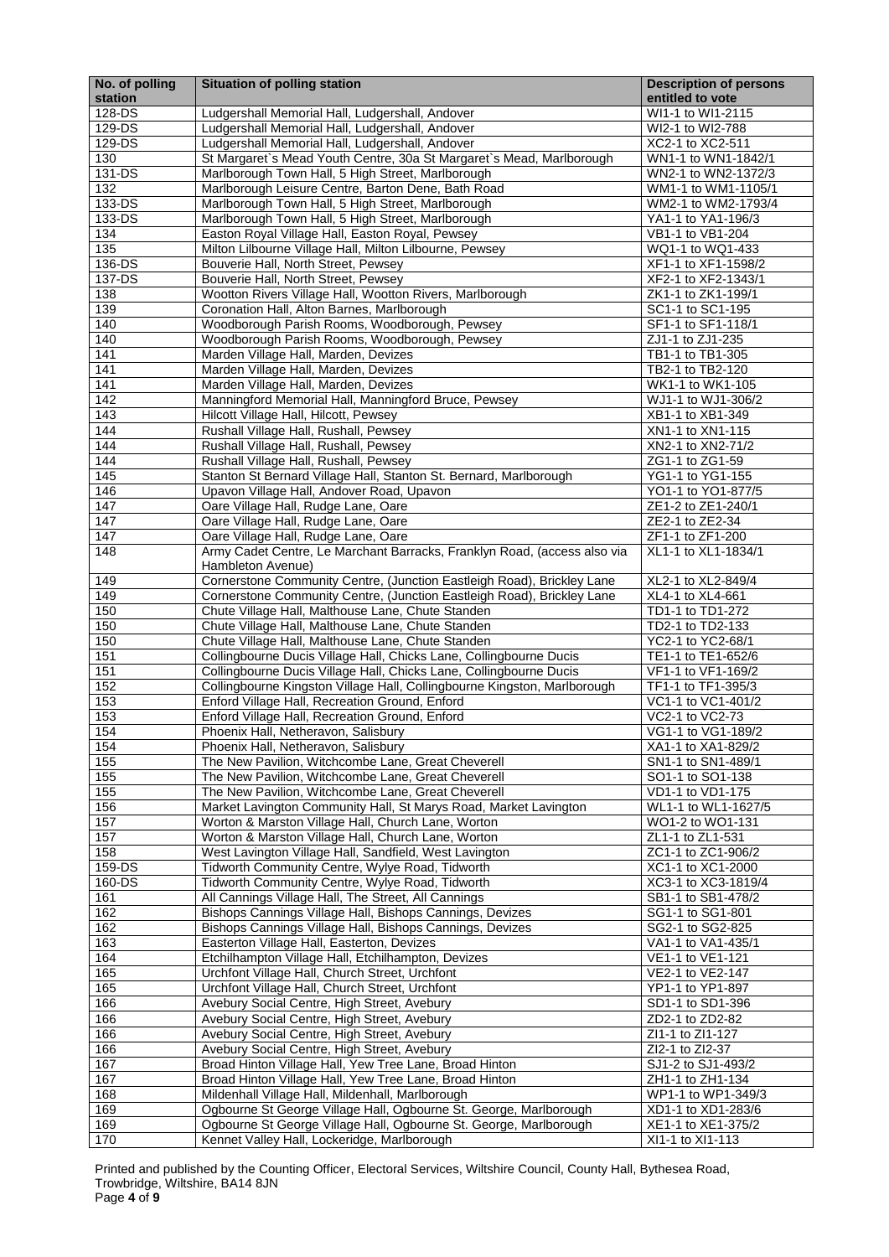Printed and published by the Counting Officer, Electoral Services, Wiltshire Council, County Hall, Bythesea Road, Trowbridge, Wiltshire, BA14 8JN Page **4** of **9**

| No. of polling<br>station | <b>Situation of polling station</b>                                                           | <b>Description of persons</b><br>entitled to vote |
|---------------------------|-----------------------------------------------------------------------------------------------|---------------------------------------------------|
| 128-DS                    | Ludgershall Memorial Hall, Ludgershall, Andover                                               | WI1-1 to WI1-2115                                 |
| 129-DS                    | Ludgershall Memorial Hall, Ludgershall, Andover                                               | WI2-1 to WI2-788                                  |
| 129-DS                    | Ludgershall Memorial Hall, Ludgershall, Andover                                               | XC2-1 to XC2-511                                  |
| 130                       | St Margaret's Mead Youth Centre, 30a St Margaret's Mead, Marlborough                          | WN1-1 to WN1-1842/1                               |
| 131-DS                    | Marlborough Town Hall, 5 High Street, Marlborough                                             | WN2-1 to WN2-1372/3                               |
| 132                       | Marlborough Leisure Centre, Barton Dene, Bath Road                                            | WM1-1 to WM1-1105/1                               |
| 133-DS                    | Marlborough Town Hall, 5 High Street, Marlborough                                             | WM2-1 to WM2-1793/4                               |
| 133-DS                    | Marlborough Town Hall, 5 High Street, Marlborough                                             | YA1-1 to YA1-196/3                                |
| 134                       | Easton Royal Village Hall, Easton Royal, Pewsey                                               | VB1-1 to VB1-204                                  |
| 135                       | Milton Lilbourne Village Hall, Milton Lilbourne, Pewsey                                       | WQ1-1 to WQ1-433                                  |
| 136-DS                    | Bouverie Hall, North Street, Pewsey                                                           | XF1-1 to XF1-1598/2                               |
| 137-DS                    | Bouverie Hall, North Street, Pewsey                                                           | XF2-1 to XF2-1343/1                               |
| 138                       | Wootton Rivers Village Hall, Wootton Rivers, Marlborough                                      | ZK1-1 to ZK1-199/1                                |
| 139                       | Coronation Hall, Alton Barnes, Marlborough                                                    | SC1-1 to SC1-195                                  |
| 140                       | Woodborough Parish Rooms, Woodborough, Pewsey                                                 | SF1-1 to SF1-118/1                                |
| 140                       | Woodborough Parish Rooms, Woodborough, Pewsey                                                 | ZJ1-1 to ZJ1-235                                  |
| 141                       | Marden Village Hall, Marden, Devizes                                                          | TB1-1 to TB1-305                                  |
| 141                       | Marden Village Hall, Marden, Devizes                                                          | TB2-1 to TB2-120                                  |
| 141                       | Marden Village Hall, Marden, Devizes                                                          | WK1-1 to WK1-105                                  |
| 142                       | Manningford Memorial Hall, Manningford Bruce, Pewsey                                          | WJ1-1 to WJ1-306/2                                |
| 143                       | Hilcott Village Hall, Hilcott, Pewsey                                                         | XB1-1 to XB1-349                                  |
| 144                       | Rushall Village Hall, Rushall, Pewsey                                                         | XN1-1 to XN1-115                                  |
| 144                       | Rushall Village Hall, Rushall, Pewsey                                                         | XN2-1 to XN2-71/2                                 |
| 144                       | Rushall Village Hall, Rushall, Pewsey                                                         | ZG1-1 to ZG1-59                                   |
| 145                       | Stanton St Bernard Village Hall, Stanton St. Bernard, Marlborough                             | YG1-1 to YG1-155                                  |
| 146                       | Upavon Village Hall, Andover Road, Upavon                                                     | YO1-1 to YO1-877/5                                |
| 147<br>147                | Oare Village Hall, Rudge Lane, Oare                                                           | ZE1-2 to ZE1-240/1                                |
| 147                       | Oare Village Hall, Rudge Lane, Oare                                                           | ZE2-1 to ZE2-34<br>ZF1-1 to ZF1-200               |
|                           | Oare Village Hall, Rudge Lane, Oare                                                           | XL1-1 to XL1-1834/1                               |
| 148                       | Army Cadet Centre, Le Marchant Barracks, Franklyn Road, (access also via<br>Hambleton Avenue) |                                                   |
| 149                       | Cornerstone Community Centre, (Junction Eastleigh Road), Brickley Lane                        | XL2-1 to XL2-849/4                                |
| 149                       | Cornerstone Community Centre, (Junction Eastleigh Road), Brickley Lane                        | XL4-1 to XL4-661                                  |
| 150                       | Chute Village Hall, Malthouse Lane, Chute Standen                                             | TD1-1 to TD1-272                                  |
| 150                       | Chute Village Hall, Malthouse Lane, Chute Standen                                             | TD2-1 to TD2-133                                  |
| 150                       | Chute Village Hall, Malthouse Lane, Chute Standen                                             | YC2-1 to YC2-68/1                                 |
| 151                       | Collingbourne Ducis Village Hall, Chicks Lane, Collingbourne Ducis                            | TE1-1 to TE1-652/6                                |
| 151                       | Collingbourne Ducis Village Hall, Chicks Lane, Collingbourne Ducis                            | VF1-1 to VF1-169/2                                |
| 152                       | Collingbourne Kingston Village Hall, Collingbourne Kingston, Marlborough                      | TF1-1 to TF1-395/3                                |
| 153                       | Enford Village Hall, Recreation Ground, Enford                                                | VC1-1 to VC1-401/2                                |
| 153                       | Enford Village Hall, Recreation Ground, Enford                                                | VC2-1 to VC2-73                                   |
| 154                       | Phoenix Hall, Netheravon, Salisbury                                                           | VG1-1 to VG1-189/2                                |
| 154                       | Phoenix Hall, Netheravon, Salisbury                                                           | XA1-1 to XA1-829/2                                |
| 155                       | The New Pavilion, Witchcombe Lane, Great Cheverell                                            | SN1-1 to SN1-489/1                                |
| 155                       | The New Pavilion, Witchcombe Lane, Great Cheverell                                            | SO1-1 to SO1-138                                  |
| 155                       | The New Pavilion, Witchcombe Lane, Great Cheverell                                            | VD1-1 to VD1-175                                  |
| 156                       | Market Lavington Community Hall, St Marys Road, Market Lavington                              | WL1-1 to WL1-1627/5                               |
| 157                       | Worton & Marston Village Hall, Church Lane, Worton                                            | WO1-2 to WO1-131                                  |
| 157                       | Worton & Marston Village Hall, Church Lane, Worton                                            | ZL1-1 to ZL1-531                                  |
| 158                       | West Lavington Village Hall, Sandfield, West Lavington                                        | ZC1-1 to ZC1-906/2                                |
| 159-DS                    | Tidworth Community Centre, Wylye Road, Tidworth                                               | XC1-1 to XC1-2000                                 |
| 160-DS                    | Tidworth Community Centre, Wylye Road, Tidworth                                               | XC3-1 to XC3-1819/4                               |
| 161                       | All Cannings Village Hall, The Street, All Cannings                                           | SB1-1 to SB1-478/2                                |
| 162                       | Bishops Cannings Village Hall, Bishops Cannings, Devizes                                      | SG1-1 to SG1-801                                  |
| 162                       | Bishops Cannings Village Hall, Bishops Cannings, Devizes                                      | SG2-1 to SG2-825                                  |
| 163                       | Easterton Village Hall, Easterton, Devizes                                                    | VA1-1 to VA1-435/1                                |
| 164                       | Etchilhampton Village Hall, Etchilhampton, Devizes                                            | VE1-1 to VE1-121                                  |
| 165                       | Urchfont Village Hall, Church Street, Urchfont                                                | VE2-1 to VE2-147                                  |
| 165                       | Urchfont Village Hall, Church Street, Urchfont                                                | YP1-1 to YP1-897                                  |
| 166                       | Avebury Social Centre, High Street, Avebury                                                   | SD1-1 to SD1-396                                  |
| 166                       | Avebury Social Centre, High Street, Avebury                                                   | ZD2-1 to ZD2-82                                   |
| 166                       | Avebury Social Centre, High Street, Avebury                                                   | ZI1-1 to ZI1-127                                  |
| 166                       | Avebury Social Centre, High Street, Avebury                                                   | ZI2-1 to ZI2-37                                   |
| 167                       | Broad Hinton Village Hall, Yew Tree Lane, Broad Hinton                                        | SJ1-2 to SJ1-493/2                                |
| 167                       | Broad Hinton Village Hall, Yew Tree Lane, Broad Hinton                                        | ZH1-1 to ZH1-134                                  |
| 168                       | Mildenhall Village Hall, Mildenhall, Marlborough                                              | WP1-1 to WP1-349/3                                |
| 169                       | Ogbourne St George Village Hall, Ogbourne St. George, Marlborough                             | XD1-1 to XD1-283/6                                |
| 169                       | Ogbourne St George Village Hall, Ogbourne St. George, Marlborough                             | XE1-1 to XE1-375/2                                |
| 170                       | Kennet Valley Hall, Lockeridge, Marlborough                                                   | XI1-1 to XI1-113                                  |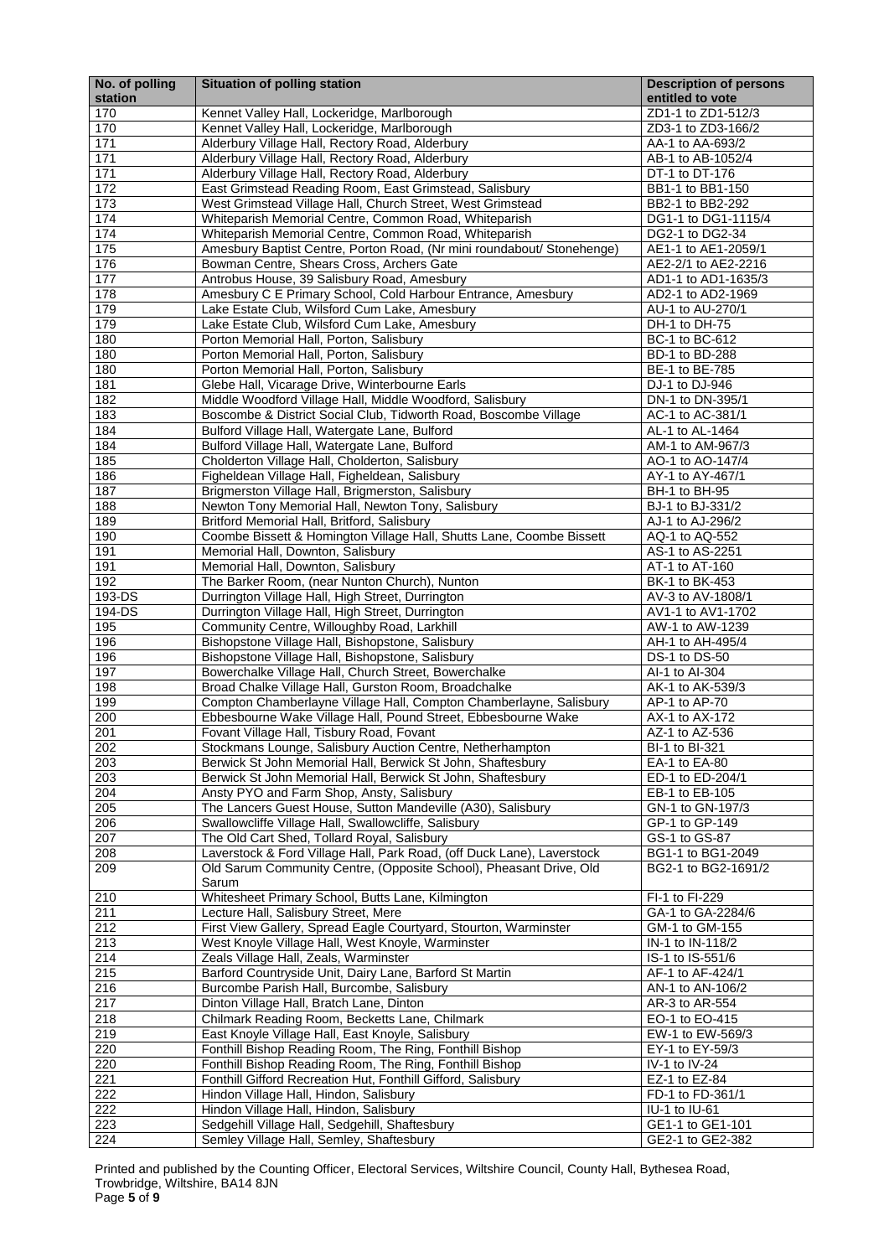Printed and published by the Counting Officer, Electoral Services, Wiltshire Council, County Hall, Bythesea Road, Trowbridge, Wiltshire, BA14 8JN Page **5** of **9**

| No. of polling<br>station | <b>Situation of polling station</b>                                                                  | <b>Description of persons</b><br>entitled to vote |
|---------------------------|------------------------------------------------------------------------------------------------------|---------------------------------------------------|
| 170                       | Kennet Valley Hall, Lockeridge, Marlborough                                                          | ZD1-1 to ZD1-512/3                                |
| 170                       | Kennet Valley Hall, Lockeridge, Marlborough                                                          | ZD3-1 to ZD3-166/2                                |
| 171                       | Alderbury Village Hall, Rectory Road, Alderbury                                                      | AA-1 to AA-693/2                                  |
| 171                       | Alderbury Village Hall, Rectory Road, Alderbury                                                      | AB-1 to AB-1052/4                                 |
| 171                       | Alderbury Village Hall, Rectory Road, Alderbury                                                      | DT-1 to DT-176                                    |
| 172                       | East Grimstead Reading Room, East Grimstead, Salisbury                                               | BB1-1 to BB1-150                                  |
| 173                       | West Grimstead Village Hall, Church Street, West Grimstead                                           | BB2-1 to BB2-292                                  |
| 174                       | Whiteparish Memorial Centre, Common Road, Whiteparish                                                | DG1-1 to DG1-1115/4                               |
| 174                       | Whiteparish Memorial Centre, Common Road, Whiteparish                                                | DG2-1 to DG2-34                                   |
| 175                       | Amesbury Baptist Centre, Porton Road, (Nr mini roundabout/ Stonehenge)                               | AE1-1 to AE1-2059/1                               |
| 176                       | Bowman Centre, Shears Cross, Archers Gate                                                            | AE2-2/1 to AE2-2216                               |
| 177                       | Antrobus House, 39 Salisbury Road, Amesbury                                                          | AD1-1 to AD1-1635/3                               |
| 178                       | Amesbury C E Primary School, Cold Harbour Entrance, Amesbury                                         | AD2-1 to AD2-1969                                 |
| 179<br>179                | Lake Estate Club, Wilsford Cum Lake, Amesbury<br>Lake Estate Club, Wilsford Cum Lake, Amesbury       | AU-1 to AU-270/1<br>DH-1 to DH-75                 |
| 180                       | Porton Memorial Hall, Porton, Salisbury                                                              | BC-1 to BC-612                                    |
| 180                       | Porton Memorial Hall, Porton, Salisbury                                                              | BD-1 to BD-288                                    |
| 180                       | Porton Memorial Hall, Porton, Salisbury                                                              | BE-1 to BE-785                                    |
| 181                       | Glebe Hall, Vicarage Drive, Winterbourne Earls                                                       | DJ-1 to DJ-946                                    |
| 182                       | Middle Woodford Village Hall, Middle Woodford, Salisbury                                             | DN-1 to DN-395/1                                  |
| 183                       | Boscombe & District Social Club, Tidworth Road, Boscombe Village                                     | AC-1 to AC-381/1                                  |
| 184                       | Bulford Village Hall, Watergate Lane, Bulford                                                        | AL-1 to AL-1464                                   |
| 184                       | Bulford Village Hall, Watergate Lane, Bulford                                                        | AM-1 to AM-967/3                                  |
| 185                       | Cholderton Village Hall, Cholderton, Salisbury                                                       | AO-1 to AO-147/4                                  |
| 186                       | Figheldean Village Hall, Figheldean, Salisbury                                                       | AY-1 to AY-467/1                                  |
| 187                       | Brigmerston Village Hall, Brigmerston, Salisbury                                                     | BH-1 to BH-95                                     |
| 188                       | Newton Tony Memorial Hall, Newton Tony, Salisbury                                                    | BJ-1 to BJ-331/2                                  |
| 189                       | Britford Memorial Hall, Britford, Salisbury                                                          | AJ-1 to AJ-296/2                                  |
| 190                       | Coombe Bissett & Homington Village Hall, Shutts Lane, Coombe Bissett                                 | AQ-1 to AQ-552                                    |
| 191                       | Memorial Hall, Downton, Salisbury                                                                    | AS-1 to AS-2251                                   |
| 191                       | Memorial Hall, Downton, Salisbury                                                                    | AT-1 to AT-160                                    |
| 192                       | The Barker Room, (near Nunton Church), Nunton                                                        | BK-1 to BK-453                                    |
| 193-DS<br>194-DS          | Durrington Village Hall, High Street, Durrington<br>Durrington Village Hall, High Street, Durrington | AV-3 to AV-1808/1<br>AV1-1 to AV1-1702            |
| 195                       | Community Centre, Willoughby Road, Larkhill                                                          | AW-1 to AW-1239                                   |
| 196                       | Bishopstone Village Hall, Bishopstone, Salisbury                                                     | AH-1 to AH-495/4                                  |
| 196                       | Bishopstone Village Hall, Bishopstone, Salisbury                                                     | DS-1 to DS-50                                     |
| 197                       | Bowerchalke Village Hall, Church Street, Bowerchalke                                                 | Al-1 to Al-304                                    |
| 198                       | Broad Chalke Village Hall, Gurston Room, Broadchalke                                                 | AK-1 to AK-539/3                                  |
| 199                       | Compton Chamberlayne Village Hall, Compton Chamberlayne, Salisbury                                   | AP-1 to AP-70                                     |
| 200                       | Ebbesbourne Wake Village Hall, Pound Street, Ebbesbourne Wake                                        | AX-1 to AX-172                                    |
| 201                       | Fovant Village Hall, Tisbury Road, Fovant                                                            | AZ-1 to AZ-536                                    |
| 202                       | Stockmans Lounge, Salisbury Auction Centre, Netherhampton                                            | BI-1 to BI-321                                    |
| 203                       | Berwick St John Memorial Hall, Berwick St John, Shaftesbury                                          | EA-1 to EA-80                                     |
| 203                       | Berwick St John Memorial Hall, Berwick St John, Shaftesbury                                          | ED-1 to ED-204/1                                  |
| 204                       | Ansty PYO and Farm Shop, Ansty, Salisbury                                                            | EB-1 to EB-105                                    |
| 205                       | The Lancers Guest House, Sutton Mandeville (A30), Salisbury                                          | GN-1 to GN-197/3                                  |
| 206                       | Swallowcliffe Village Hall, Swallowcliffe, Salisbury                                                 | GP-1 to GP-149                                    |
| 207                       | The Old Cart Shed, Tollard Royal, Salisbury                                                          | GS-1 to GS-87                                     |
| 208                       | Laverstock & Ford Village Hall, Park Road, (off Duck Lane), Laverstock                               | BG1-1 to BG1-2049                                 |
| 209                       | Old Sarum Community Centre, (Opposite School), Pheasant Drive, Old<br>Sarum                          | BG2-1 to BG2-1691/2                               |
| 210                       | Whitesheet Primary School, Butts Lane, Kilmington                                                    | FI-1 to FI-229                                    |
| 211                       | Lecture Hall, Salisbury Street, Mere                                                                 | GA-1 to GA-2284/6                                 |
| 212                       | First View Gallery, Spread Eagle Courtyard, Stourton, Warminster                                     | GM-1 to GM-155                                    |
| 213                       | West Knoyle Village Hall, West Knoyle, Warminster                                                    | IN-1 to IN-118/2                                  |
| 214                       | Zeals Village Hall, Zeals, Warminster                                                                | IS-1 to IS-551/6                                  |
| 215                       | Barford Countryside Unit, Dairy Lane, Barford St Martin                                              | AF-1 to AF-424/1                                  |
| 216                       | Burcombe Parish Hall, Burcombe, Salisbury                                                            | AN-1 to AN-106/2                                  |
| 217                       | Dinton Village Hall, Bratch Lane, Dinton                                                             | AR-3 to AR-554                                    |
| 218                       | Chilmark Reading Room, Becketts Lane, Chilmark                                                       | EO-1 to EO-415                                    |
| 219                       | East Knoyle Village Hall, East Knoyle, Salisbury                                                     | EW-1 to EW-569/3                                  |
| 220                       | Fonthill Bishop Reading Room, The Ring, Fonthill Bishop                                              | EY-1 to EY-59/3                                   |
| 220                       | Fonthill Bishop Reading Room, The Ring, Fonthill Bishop                                              | IV-1 to IV-24                                     |
| 221                       | Fonthill Gifford Recreation Hut, Fonthill Gifford, Salisbury                                         | EZ-1 to EZ-84                                     |
| 222                       | Hindon Village Hall, Hindon, Salisbury                                                               | FD-1 to FD-361/1                                  |
| 222                       | Hindon Village Hall, Hindon, Salisbury                                                               | IU-1 to IU-61                                     |
| 223                       | Sedgehill Village Hall, Sedgehill, Shaftesbury                                                       | GE1-1 to GE1-101                                  |
| 224                       | Semley Village Hall, Semley, Shaftesbury                                                             | GE2-1 to GE2-382                                  |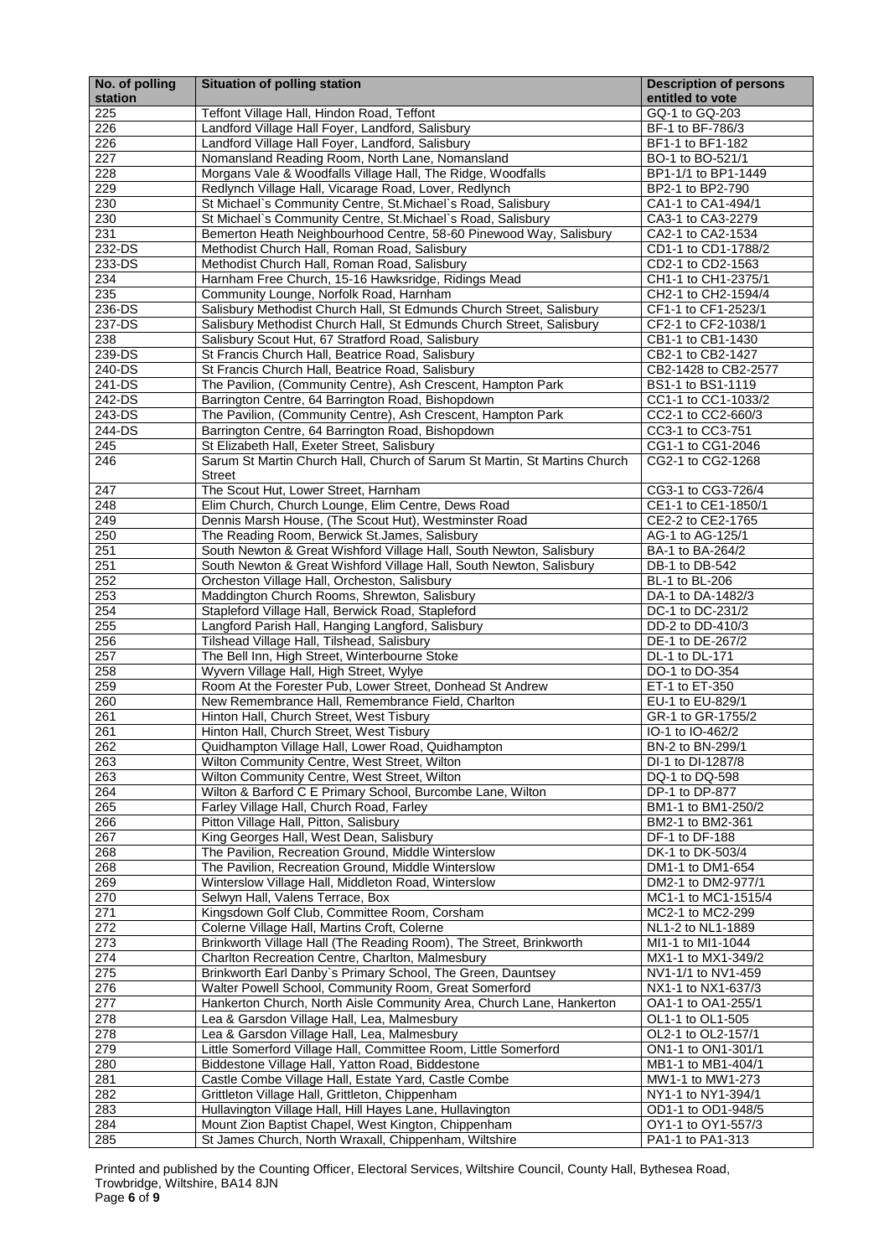Printed and published by the Counting Officer, Electoral Services, Wiltshire Council, County Hall, Bythesea Road, Trowbridge, Wiltshire, BA14 8JN Page **6** of **9**

| No. of polling | <b>Situation of polling station</b>                                                                                           | <b>Description of persons</b>              |
|----------------|-------------------------------------------------------------------------------------------------------------------------------|--------------------------------------------|
| station        |                                                                                                                               | entitled to vote                           |
| 225<br>226     | Teffont Village Hall, Hindon Road, Teffont                                                                                    | GQ-1 to GQ-203<br>BF-1 to BF-786/3         |
| 226            | Landford Village Hall Foyer, Landford, Salisbury<br>Landford Village Hall Foyer, Landford, Salisbury                          | BF1-1 to BF1-182                           |
| 227            | Nomansland Reading Room, North Lane, Nomansland                                                                               | BO-1 to BO-521/1                           |
| 228            | Morgans Vale & Woodfalls Village Hall, The Ridge, Woodfalls                                                                   | BP1-1/1 to BP1-1449                        |
| 229            | Redlynch Village Hall, Vicarage Road, Lover, Redlynch                                                                         | BP2-1 to BP2-790                           |
| 230            | St Michael's Community Centre, St.Michael's Road, Salisbury                                                                   | CA1-1 to CA1-494/1                         |
| 230            | St Michael's Community Centre, St. Michael's Road, Salisbury                                                                  | CA3-1 to CA3-2279                          |
| 231            | Bemerton Heath Neighbourhood Centre, 58-60 Pinewood Way, Salisbury                                                            | CA2-1 to CA2-1534                          |
| 232-DS         | Methodist Church Hall, Roman Road, Salisbury                                                                                  | CD1-1 to CD1-1788/2                        |
| 233-DS         | Methodist Church Hall, Roman Road, Salisbury                                                                                  | CD2-1 to CD2-1563                          |
| 234<br>235     | Harnham Free Church, 15-16 Hawksridge, Ridings Mead                                                                           | CH1-1 to CH1-2375/1<br>CH2-1 to CH2-1594/4 |
| 236-DS         | Community Lounge, Norfolk Road, Harnham<br>Salisbury Methodist Church Hall, St Edmunds Church Street, Salisbury               | CF1-1 to CF1-2523/1                        |
| 237-DS         | Salisbury Methodist Church Hall, St Edmunds Church Street, Salisbury                                                          | CF2-1 to CF2-1038/1                        |
| 238            | Salisbury Scout Hut, 67 Stratford Road, Salisbury                                                                             | CB1-1 to CB1-1430                          |
| 239-DS         | St Francis Church Hall, Beatrice Road, Salisbury                                                                              | CB2-1 to CB2-1427                          |
| 240-DS         | St Francis Church Hall, Beatrice Road, Salisbury                                                                              | CB2-1428 to CB2-2577                       |
| 241-DS         | The Pavilion, (Community Centre), Ash Crescent, Hampton Park                                                                  | BS1-1 to BS1-1119                          |
| 242-DS         | Barrington Centre, 64 Barrington Road, Bishopdown                                                                             | CC1-1 to CC1-1033/2                        |
| 243-DS         | The Pavilion, (Community Centre), Ash Crescent, Hampton Park                                                                  | CC2-1 to CC2-660/3                         |
| 244-DS<br>245  | Barrington Centre, 64 Barrington Road, Bishopdown                                                                             | CC3-1 to CC3-751                           |
| 246            | St Elizabeth Hall, Exeter Street, Salisbury<br>Sarum St Martin Church Hall, Church of Sarum St Martin, St Martins Church      | CG1-1 to CG1-2046<br>CG2-1 to CG2-1268     |
|                | <b>Street</b>                                                                                                                 |                                            |
| 247            | The Scout Hut, Lower Street, Harnham                                                                                          | CG3-1 to CG3-726/4                         |
| 248            | Elim Church, Church Lounge, Elim Centre, Dews Road                                                                            | CE1-1 to CE1-1850/1                        |
| 249            | Dennis Marsh House, (The Scout Hut), Westminster Road                                                                         | CE2-2 to CE2-1765                          |
| 250            | The Reading Room, Berwick St.James, Salisbury                                                                                 | AG-1 to AG-125/1                           |
| 251            | South Newton & Great Wishford Village Hall, South Newton, Salisbury                                                           | BA-1 to BA-264/2                           |
| 251<br>252     | South Newton & Great Wishford Village Hall, South Newton, Salisbury                                                           | DB-1 to DB-542                             |
| 253            | Orcheston Village Hall, Orcheston, Salisbury<br>Maddington Church Rooms, Shrewton, Salisbury                                  | BL-1 to BL-206<br>DA-1 to DA-1482/3        |
| 254            | Stapleford Village Hall, Berwick Road, Stapleford                                                                             | DC-1 to DC-231/2                           |
| 255            | Langford Parish Hall, Hanging Langford, Salisbury                                                                             | DD-2 to DD-410/3                           |
| 256            | Tilshead Village Hall, Tilshead, Salisbury                                                                                    | DE-1 to DE-267/2                           |
| 257            | The Bell Inn, High Street, Winterbourne Stoke                                                                                 | DL-1 to DL-171                             |
| 258            | Wyvern Village Hall, High Street, Wylye                                                                                       | DO-1 to DO-354                             |
| 259            | Room At the Forester Pub, Lower Street, Donhead St Andrew                                                                     | ET-1 to ET-350                             |
| 260<br>261     | New Remembrance Hall, Remembrance Field, Charlton<br>Hinton Hall, Church Street, West Tisbury                                 | EU-1 to EU-829/1<br>GR-1 to GR-1755/2      |
| 261            | Hinton Hall, Church Street, West Tisbury                                                                                      | IO-1 to IO-462/2                           |
| 262            | Quidhampton Village Hall, Lower Road, Quidhampton                                                                             | BN-2 to BN-299/1                           |
| 263            | Wilton Community Centre, West Street, Wilton                                                                                  | DI-1 to DI-1287/8                          |
| 263            | Wilton Community Centre, West Street, Wilton                                                                                  | DQ-1 to DQ-598                             |
| 264            | Wilton & Barford C E Primary School, Burcombe Lane, Wilton                                                                    | DP-1 to DP-877                             |
| 265            | Farley Village Hall, Church Road, Farley                                                                                      | BM1-1 to BM1-250/2                         |
| 266            | Pitton Village Hall, Pitton, Salisbury                                                                                        | BM2-1 to BM2-361                           |
| 267<br>268     | King Georges Hall, West Dean, Salisbury                                                                                       | DF-1 to DF-188<br>DK-1 to DK-503/4         |
| 268            | The Pavilion, Recreation Ground, Middle Winterslow<br>The Pavilion, Recreation Ground, Middle Winterslow                      | DM1-1 to DM1-654                           |
| 269            | Winterslow Village Hall, Middleton Road, Winterslow                                                                           | DM2-1 to DM2-977/1                         |
| 270            | Selwyn Hall, Valens Terrace, Box                                                                                              | MC1-1 to MC1-1515/4                        |
| 271            | Kingsdown Golf Club, Committee Room, Corsham                                                                                  | MC2-1 to MC2-299                           |
| 272            | Colerne Village Hall, Martins Croft, Colerne                                                                                  | NL1-2 to NL1-1889                          |
| 273            | Brinkworth Village Hall (The Reading Room), The Street, Brinkworth                                                            | MI1-1 to MI1-1044                          |
| 274            | Charlton Recreation Centre, Charlton, Malmesbury                                                                              | MX1-1 to MX1-349/2                         |
| 275            | Brinkworth Earl Danby's Primary School, The Green, Dauntsey                                                                   | NV1-1/1 to NV1-459                         |
| 276<br>277     | Walter Powell School, Community Room, Great Somerford<br>Hankerton Church, North Aisle Community Area, Church Lane, Hankerton | NX1-1 to NX1-637/3<br>OA1-1 to OA1-255/1   |
| 278            | ea & Garsdon Village Hall, Lea, Malmesbury                                                                                    | OL1-1 to OL1-505                           |
| 278            | Lea & Garsdon Village Hall, Lea, Malmesbury                                                                                   | OL2-1 to OL2-157/1                         |
| 279            | Little Somerford Village Hall, Committee Room, Little Somerford                                                               | ON1-1 to ON1-301/1                         |
| 280            | Biddestone Village Hall, Yatton Road, Biddestone                                                                              | MB1-1 to MB1-404/1                         |
| 281            | Castle Combe Village Hall, Estate Yard, Castle Combe                                                                          | MW1-1 to MW1-273                           |
| 282            | Grittleton Village Hall, Grittleton, Chippenham                                                                               | NY1-1 to NY1-394/1                         |
| 283            | Hullavington Village Hall, Hill Hayes Lane, Hullavington                                                                      | OD1-1 to OD1-948/5                         |
| 284<br>285     | Mount Zion Baptist Chapel, West Kington, Chippenham<br>St James Church, North Wraxall, Chippenham, Wiltshire                  | OY1-1 to OY1-557/3<br>PA1-1 to PA1-313     |
|                |                                                                                                                               |                                            |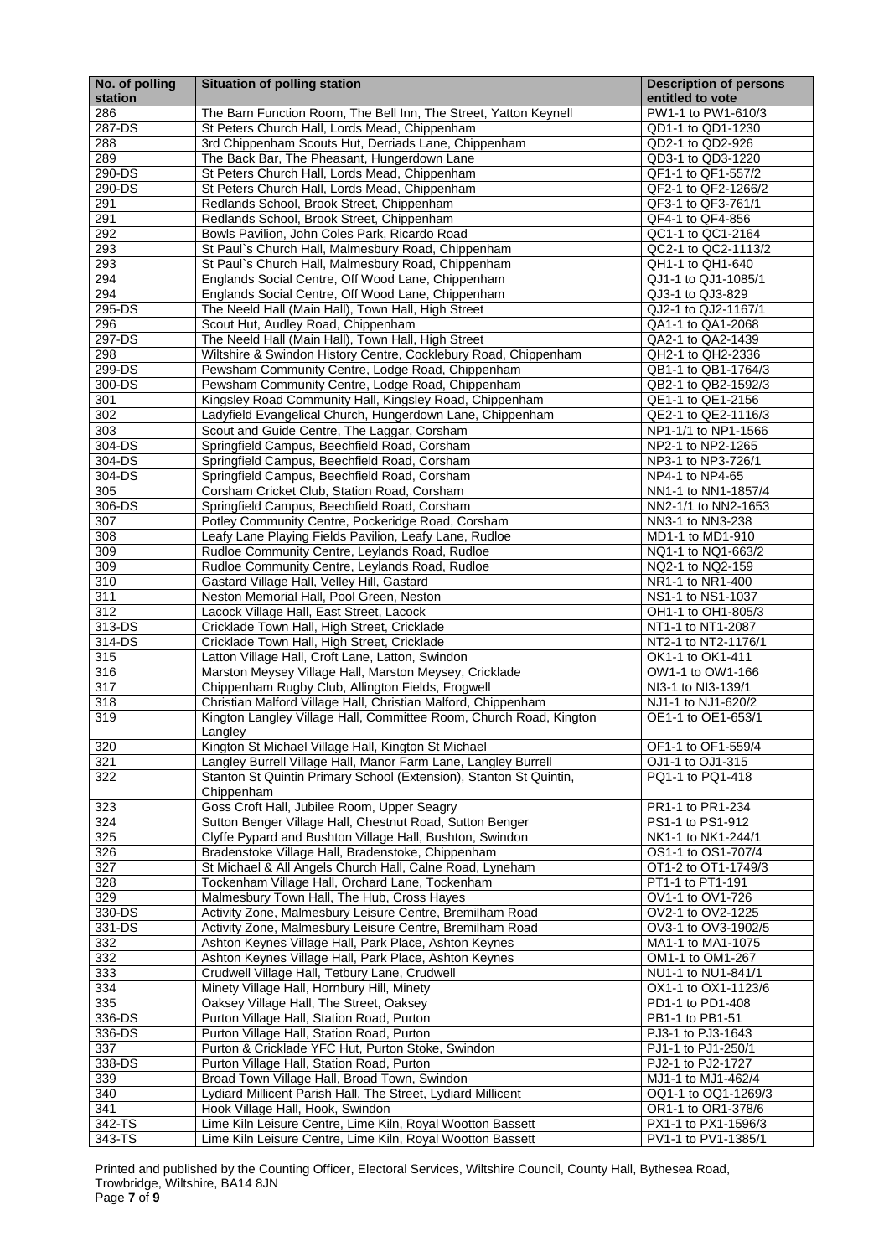Printed and published by the Counting Officer, Electoral Services, Wiltshire Council, County Hall, Bythesea Road, Trowbridge, Wiltshire, BA14 8JN Page **7** of **9**

| No. of polling<br>station | <b>Situation of polling station</b>                                                                                | <b>Description of persons</b><br>entitled to vote |
|---------------------------|--------------------------------------------------------------------------------------------------------------------|---------------------------------------------------|
| 286                       | The Barn Function Room, The Bell Inn, The Street, Yatton Keynell                                                   | PW1-1 to PW1-610/3                                |
| 287-DS                    | St Peters Church Hall, Lords Mead, Chippenham                                                                      | QD1-1 to QD1-1230                                 |
| 288                       | 3rd Chippenham Scouts Hut, Derriads Lane, Chippenham                                                               | QD2-1 to QD2-926                                  |
| 289                       | The Back Bar, The Pheasant, Hungerdown Lane                                                                        | QD3-1 to QD3-1220                                 |
| 290-DS                    | St Peters Church Hall, Lords Mead, Chippenham                                                                      | QF1-1 to QF1-557/2                                |
| 290-DS                    | St Peters Church Hall, Lords Mead, Chippenham                                                                      | QF2-1 to QF2-1266/2                               |
| 291                       | Redlands School, Brook Street, Chippenham                                                                          | QF3-1 to QF3-761/1                                |
| 291                       | Redlands School, Brook Street, Chippenham                                                                          | QF4-1 to QF4-856                                  |
| 292                       | Bowls Pavilion, John Coles Park, Ricardo Road                                                                      | QC1-1 to QC1-2164                                 |
| 293                       | St Paul's Church Hall, Malmesbury Road, Chippenham                                                                 | QC2-1 to QC2-1113/2                               |
| 293<br>294                | St Paul's Church Hall, Malmesbury Road, Chippenham<br>Englands Social Centre, Off Wood Lane, Chippenham            | QH1-1 to QH1-640<br>QJ1-1 to QJ1-1085/1           |
| 294                       | Englands Social Centre, Off Wood Lane, Chippenham                                                                  | QJ3-1 to QJ3-829                                  |
| 295-DS                    | The Neeld Hall (Main Hall), Town Hall, High Street                                                                 | QJ2-1 to QJ2-1167/1                               |
| 296                       | Scout Hut, Audley Road, Chippenham                                                                                 | QA1-1 to QA1-2068                                 |
| 297-DS                    | The Neeld Hall (Main Hall), Town Hall, High Street                                                                 | QA2-1 to QA2-1439                                 |
| 298                       | Wiltshire & Swindon History Centre, Cocklebury Road, Chippenham                                                    | QH2-1 to QH2-2336                                 |
| 299-DS                    | Pewsham Community Centre, Lodge Road, Chippenham                                                                   | QB1-1 to QB1-1764/3                               |
| 300-DS                    | Pewsham Community Centre, Lodge Road, Chippenham                                                                   | QB2-1 to QB2-1592/3                               |
| 301                       | Kingsley Road Community Hall, Kingsley Road, Chippenham                                                            | QE1-1 to QE1-2156                                 |
| 302                       | Ladyfield Evangelical Church, Hungerdown Lane, Chippenham                                                          | QE2-1 to QE2-1116/3                               |
| 303                       | Scout and Guide Centre, The Laggar, Corsham                                                                        | NP1-1/1 to NP1-1566                               |
| 304-DS                    | Springfield Campus, Beechfield Road, Corsham                                                                       | NP2-1 to NP2-1265                                 |
| 304-DS                    | Springfield Campus, Beechfield Road, Corsham                                                                       | NP3-1 to NP3-726/1                                |
| 304-DS<br>305             | Springfield Campus, Beechfield Road, Corsham<br>Corsham Cricket Club, Station Road, Corsham                        | NP4-1 to NP4-65<br>NN1-1 to NN1-1857/4            |
| 306-DS                    | Springfield Campus, Beechfield Road, Corsham                                                                       | NN2-1/1 to NN2-1653                               |
| 307                       | Potley Community Centre, Pockeridge Road, Corsham                                                                  | NN3-1 to NN3-238                                  |
| 308                       | Leafy Lane Playing Fields Pavilion, Leafy Lane, Rudloe                                                             | MD1-1 to MD1-910                                  |
| 309                       | Rudloe Community Centre, Leylands Road, Rudloe                                                                     | NQ1-1 to NQ1-663/2                                |
| 309                       | Rudloe Community Centre, Leylands Road, Rudloe                                                                     | NQ2-1 to NQ2-159                                  |
| 310                       | Gastard Village Hall, Velley Hill, Gastard                                                                         | NR1-1 to NR1-400                                  |
| 311                       | Neston Memorial Hall, Pool Green, Neston                                                                           | NS1-1 to NS1-1037                                 |
| 312                       | Lacock Village Hall, East Street, Lacock                                                                           | OH1-1 to OH1-805/3                                |
| 313-DS                    | Cricklade Town Hall, High Street, Cricklade                                                                        | NT1-1 to NT1-2087                                 |
| 314-DS                    | Cricklade Town Hall, High Street, Cricklade                                                                        | NT2-1 to NT2-1176/1                               |
| 315                       | Latton Village Hall, Croft Lane, Latton, Swindon                                                                   | OK1-1 to OK1-411                                  |
| 316<br>317                | Marston Meysey Village Hall, Marston Meysey, Cricklade                                                             | OW1-1 to OW1-166<br>NI3-1 to NI3-139/1            |
| 318                       | Chippenham Rugby Club, Allington Fields, Frogwell<br>Christian Malford Village Hall, Christian Malford, Chippenham | NJ1-1 to NJ1-620/2                                |
| 319                       | Kington Langley Village Hall, Committee Room, Church Road, Kington                                                 | OE1-1 to OE1-653/1                                |
|                           | Langley                                                                                                            |                                                   |
| 320                       | Kington St Michael Village Hall, Kington St Michael                                                                | OF1-1 to OF1-559/4                                |
| 321                       | Langley Burrell Village Hall, Manor Farm Lane, Langley Burrell                                                     | OJ1-1 to OJ1-315                                  |
| 322                       | Stanton St Quintin Primary School (Extension), Stanton St Quintin,                                                 | PQ1-1 to PQ1-418                                  |
|                           | Chippenham                                                                                                         |                                                   |
| 323                       | Goss Croft Hall, Jubilee Room, Upper Seagry                                                                        | PR1-1 to PR1-234                                  |
| 324                       | Sutton Benger Village Hall, Chestnut Road, Sutton Benger                                                           | PS1-1 to PS1-912                                  |
| 325                       | Clyffe Pypard and Bushton Village Hall, Bushton, Swindon                                                           | NK1-1 to NK1-244/1                                |
| 326<br>327                | Bradenstoke Village Hall, Bradenstoke, Chippenham<br>St Michael & All Angels Church Hall, Calne Road, Lyneham      | OS1-1 to OS1-707/4<br>OT1-2 to OT1-1749/3         |
| 328                       | Tockenham Village Hall, Orchard Lane, Tockenham                                                                    | PT1-1 to PT1-191                                  |
| 329                       | Malmesbury Town Hall, The Hub, Cross Hayes                                                                         | OV1-1 to OV1-726                                  |
| 330-DS                    | Activity Zone, Malmesbury Leisure Centre, Bremilham Road                                                           | OV2-1 to OV2-1225                                 |
| 331-DS                    | Activity Zone, Malmesbury Leisure Centre, Bremilham Road                                                           | OV3-1 to OV3-1902/5                               |
| 332                       | Ashton Keynes Village Hall, Park Place, Ashton Keynes                                                              | MA1-1 to MA1-1075                                 |
| 332                       | Ashton Keynes Village Hall, Park Place, Ashton Keynes                                                              | OM1-1 to OM1-267                                  |
| 333                       | Crudwell Village Hall, Tetbury Lane, Crudwell                                                                      | NU1-1 to NU1-841/1                                |
| 334                       | Minety Village Hall, Hornbury Hill, Minety                                                                         | OX1-1 to OX1-1123/6                               |
| 335                       | Oaksey Village Hall, The Street, Oaksey                                                                            | PD1-1 to PD1-408                                  |
| 336-DS                    | Purton Village Hall, Station Road, Purton                                                                          | PB1-1 to PB1-51                                   |
| 336-DS                    | Purton Village Hall, Station Road, Purton                                                                          | PJ3-1 to PJ3-1643                                 |
| 337<br>338-DS             | Purton & Cricklade YFC Hut, Purton Stoke, Swindon<br>Purton Village Hall, Station Road, Purton                     | PJ1-1 to PJ1-250/1<br>PJ2-1 to PJ2-1727           |
| 339                       | Broad Town Village Hall, Broad Town, Swindon                                                                       | MJ1-1 to MJ1-462/4                                |
| 340                       | Lydiard Millicent Parish Hall, The Street, Lydiard Millicent                                                       | OQ1-1 to OQ1-1269/3                               |
| 341                       | Hook Village Hall, Hook, Swindon                                                                                   | OR1-1 to OR1-378/6                                |
| 342-TS                    | Lime Kiln Leisure Centre, Lime Kiln, Royal Wootton Bassett                                                         | PX1-1 to PX1-1596/3                               |
| 343-TS                    | Lime Kiln Leisure Centre, Lime Kiln, Royal Wootton Bassett                                                         | PV1-1 to PV1-1385/1                               |